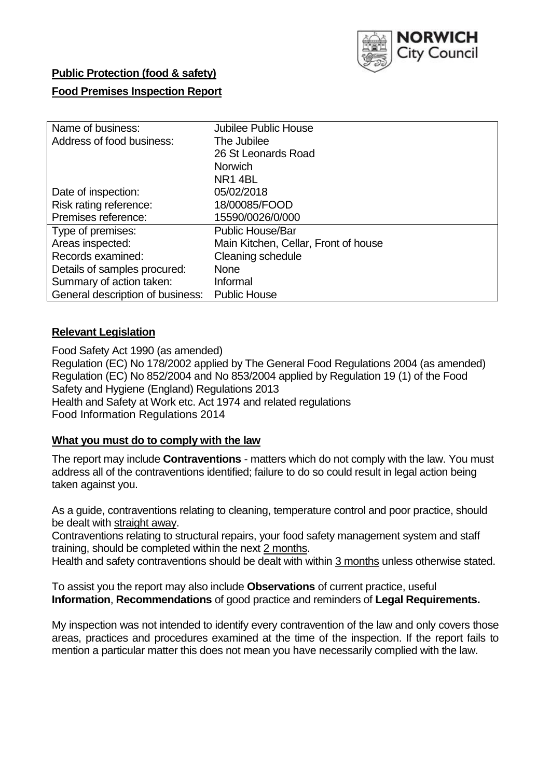

# **Public Protection (food & safety) Food Premises Inspection Report**

| Name of business:                | <b>Jubilee Public House</b>          |
|----------------------------------|--------------------------------------|
| Address of food business:        | The Jubilee                          |
|                                  | 26 St Leonards Road                  |
|                                  | <b>Norwich</b>                       |
|                                  | NR <sub>1</sub> 4BL                  |
| Date of inspection:              | 05/02/2018                           |
| Risk rating reference:           | 18/00085/FOOD                        |
| Premises reference:              | 15590/0026/0/000                     |
| Type of premises:                | <b>Public House/Bar</b>              |
| Areas inspected:                 | Main Kitchen, Cellar, Front of house |
| Records examined:                | Cleaning schedule                    |
| Details of samples procured:     | <b>None</b>                          |
| Summary of action taken:         | Informal                             |
| General description of business: | <b>Public House</b>                  |

### **Relevant Legislation**

Food Safety Act 1990 (as amended) Regulation (EC) No 178/2002 applied by The General Food Regulations 2004 (as amended) Regulation (EC) No 852/2004 and No 853/2004 applied by Regulation 19 (1) of the Food Safety and Hygiene (England) Regulations 2013 Health and Safety at Work etc. Act 1974 and related regulations Food Information Regulations 2014

### **What you must do to comply with the law**

The report may include **Contraventions** - matters which do not comply with the law. You must address all of the contraventions identified; failure to do so could result in legal action being taken against you.

As a guide, contraventions relating to cleaning, temperature control and poor practice, should be dealt with straight away.

Contraventions relating to structural repairs, your food safety management system and staff training, should be completed within the next 2 months.

Health and safety contraventions should be dealt with within 3 months unless otherwise stated.

To assist you the report may also include **Observations** of current practice, useful **Information**, **Recommendations** of good practice and reminders of **Legal Requirements.**

My inspection was not intended to identify every contravention of the law and only covers those areas, practices and procedures examined at the time of the inspection. If the report fails to mention a particular matter this does not mean you have necessarily complied with the law.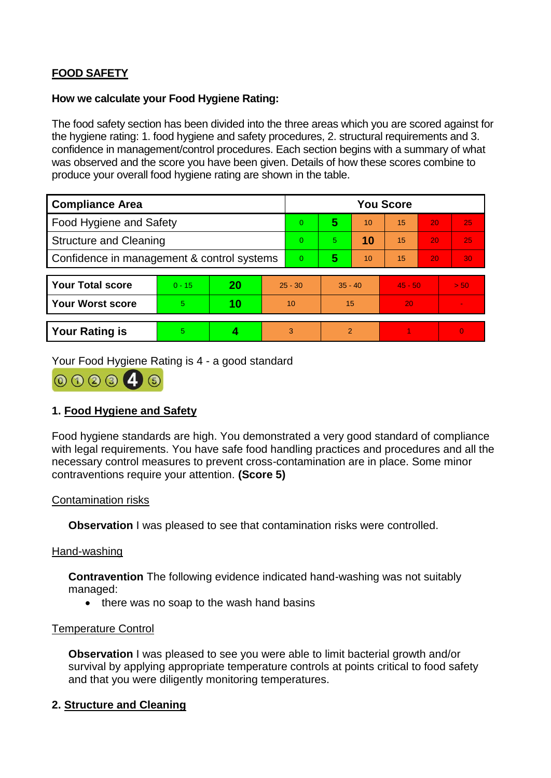## **FOOD SAFETY**

### **How we calculate your Food Hygiene Rating:**

The food safety section has been divided into the three areas which you are scored against for the hygiene rating: 1. food hygiene and safety procedures, 2. structural requirements and 3. confidence in management/control procedures. Each section begins with a summary of what was observed and the score you have been given. Details of how these scores combine to produce your overall food hygiene rating are shown in the table.

| <b>Compliance Area</b>                     |          |    |    | <b>You Score</b> |               |    |           |    |                |  |  |
|--------------------------------------------|----------|----|----|------------------|---------------|----|-----------|----|----------------|--|--|
| Food Hygiene and Safety                    |          |    |    | $\Omega$         | 5             | 10 | 15        | 20 | 25             |  |  |
| <b>Structure and Cleaning</b>              |          |    |    | $\Omega$         | 5.            | 10 | 15        | 20 | 25             |  |  |
| Confidence in management & control systems |          |    | 0  | 5                | 10            | 15 | 20        | 30 |                |  |  |
|                                            |          |    |    |                  |               |    |           |    |                |  |  |
| <b>Your Total score</b>                    | $0 - 15$ | 20 |    | $25 - 30$        | $35 - 40$     |    | $45 - 50$ |    | > 50           |  |  |
| <b>Your Worst score</b>                    | 5        | 10 | 10 |                  | 15            |    | 20        |    | $\blacksquare$ |  |  |
|                                            |          |    |    |                  |               |    |           |    |                |  |  |
| <b>Your Rating is</b>                      | 5        |    |    | 3                | $\mathcal{P}$ |    |           |    | $\overline{0}$ |  |  |

Your Food Hygiene Rating is 4 - a good standard



### **1. Food Hygiene and Safety**

Food hygiene standards are high. You demonstrated a very good standard of compliance with legal requirements. You have safe food handling practices and procedures and all the necessary control measures to prevent cross-contamination are in place. Some minor contraventions require your attention. **(Score 5)**

### Contamination risks

**Observation** I was pleased to see that contamination risks were controlled.

### Hand-washing

**Contravention** The following evidence indicated hand-washing was not suitably managed:

• there was no soap to the wash hand basins

### Temperature Control

**Observation** I was pleased to see you were able to limit bacterial growth and/or survival by applying appropriate temperature controls at points critical to food safety and that you were diligently monitoring temperatures.

### **2. Structure and Cleaning**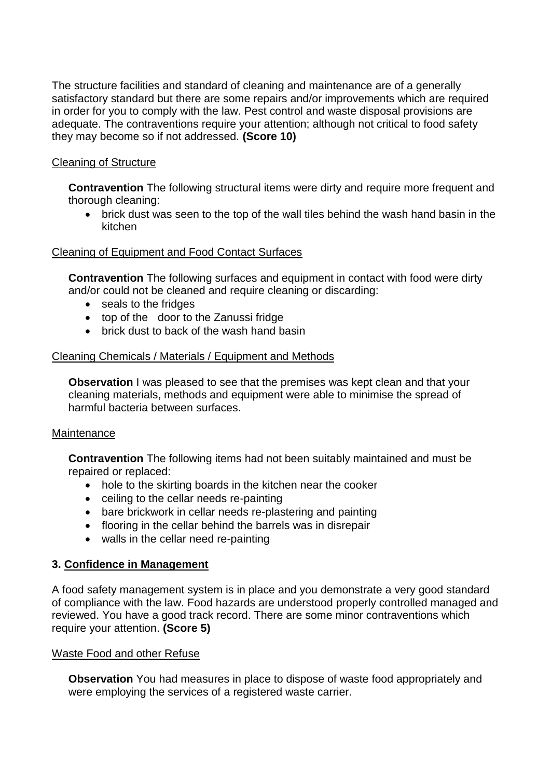The structure facilities and standard of cleaning and maintenance are of a generally satisfactory standard but there are some repairs and/or improvements which are required in order for you to comply with the law. Pest control and waste disposal provisions are adequate. The contraventions require your attention; although not critical to food safety they may become so if not addressed. **(Score 10)**

### Cleaning of Structure

**Contravention** The following structural items were dirty and require more frequent and thorough cleaning:

 brick dust was seen to the top of the wall tiles behind the wash hand basin in the kitchen

### Cleaning of Equipment and Food Contact Surfaces

**Contravention** The following surfaces and equipment in contact with food were dirty and/or could not be cleaned and require cleaning or discarding:

- seals to the fridges
- top of the door to the Zanussi fridge
- brick dust to back of the wash hand basin

### Cleaning Chemicals / Materials / Equipment and Methods

**Observation I** was pleased to see that the premises was kept clean and that your cleaning materials, methods and equipment were able to minimise the spread of harmful bacteria between surfaces.

### Maintenance

**Contravention** The following items had not been suitably maintained and must be repaired or replaced:

- hole to the skirting boards in the kitchen near the cooker
- ceiling to the cellar needs re-painting
- bare brickwork in cellar needs re-plastering and painting
- flooring in the cellar behind the barrels was in disrepair
- walls in the cellar need re-painting

### **3. Confidence in Management**

A food safety management system is in place and you demonstrate a very good standard of compliance with the law. Food hazards are understood properly controlled managed and reviewed. You have a good track record. There are some minor contraventions which require your attention. **(Score 5)**

### Waste Food and other Refuse

**Observation** You had measures in place to dispose of waste food appropriately and were employing the services of a registered waste carrier.